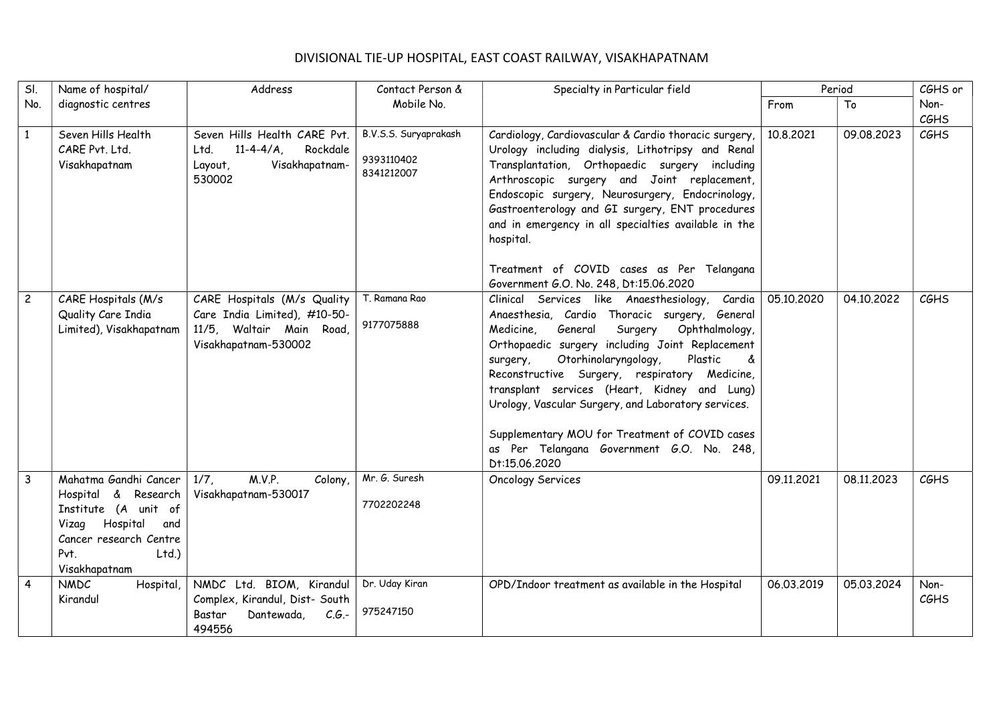## Sl. No. Name of hospital/ diagnostic centres Address Contact Person & Mobile No. Specialty in Particular field  $\overline{\phantom{a}}$  Period  $\overline{\phantom{a}}$  CGHS or Non-**CGHS** From To 1 Seven Hills Health CARE Pvt. Ltd. Visakhapatnam Seven Hills Health CARE Pvt. Ltd. 11-4-4/A, Rockdale Layout, Visakhapatnam-530002 B.V.S.S. Suryaprakash 9393110402 8341212007 Cardiology, Cardiovascular & Cardio thoracic surgery, Urology including dialysis, Lithotripsy and Renal Transplantation, Orthopaedic surgery including Arthroscopic surgery and Joint replacement, Endoscopic surgery, Neurosurgery, Endocrinology, Gastroenterology and GI surgery, ENT procedures and in emergency in all specialties available in the hospital. Treatment of COVID cases as Per Telangana Government G.O. No. 248, Dt:15.06.2020 10.8.2021 09.08.2023 CGHS 2 | CARE Hospitals (M/s Quality Care India Limited), Visakhapatnam CARE Hospitals (M/s Quality Care India Limited), #10-50- 11/5, Waltair Main Road, Visakhapatnam-530002 T. Ramana Rao 9177075888 Clinical Services like Anaesthesiology, Cardia Anaesthesia, Cardio Thoracic surgery, General Medicine, General Surgery Ophthalmology, Orthopaedic surgery including Joint Replacement surgery, Otorhinolaryngology, Plastic & Reconstructive Surgery, respiratory Medicine, transplant services (Heart, Kidney and Lung) Urology, Vascular Surgery, and Laboratory services. Supplementary MOU for Treatment of COVID cases as Per Telangana Government G.O. No. 248, Dt:15.06.2020 05.10.2020 04.10.2022 *CGHS* 3 Mahatma Gandhi Cancer Hospital & Research Institute (A unit of Vizag Hospital and Cancer research Centre Pvt. Ltd.) Visakhapatnam 1/7, M.V.P. Colony, Visakhapatnam-530017 Mr. G. Suresh 7702202248 Oncology Services 09.11.2021 08.11.2023 CGHS 4 NMDC Hospital, Kirandul NMDC Ltd. BIOM, Kirandul Complex, Kirandul, Dist- South Bastar Dantewada, C.G.- 494556 Dr. Uday Kiran 975247150 OPD/Indoor treatment as available in the Hospital  $\vert$  06.03.2019 05.03.2024 Non-CGHS

## DIVISIONAL TIE-UP HOSPITAL, EAST COAST RAILWAY, VISAKHAPATNAM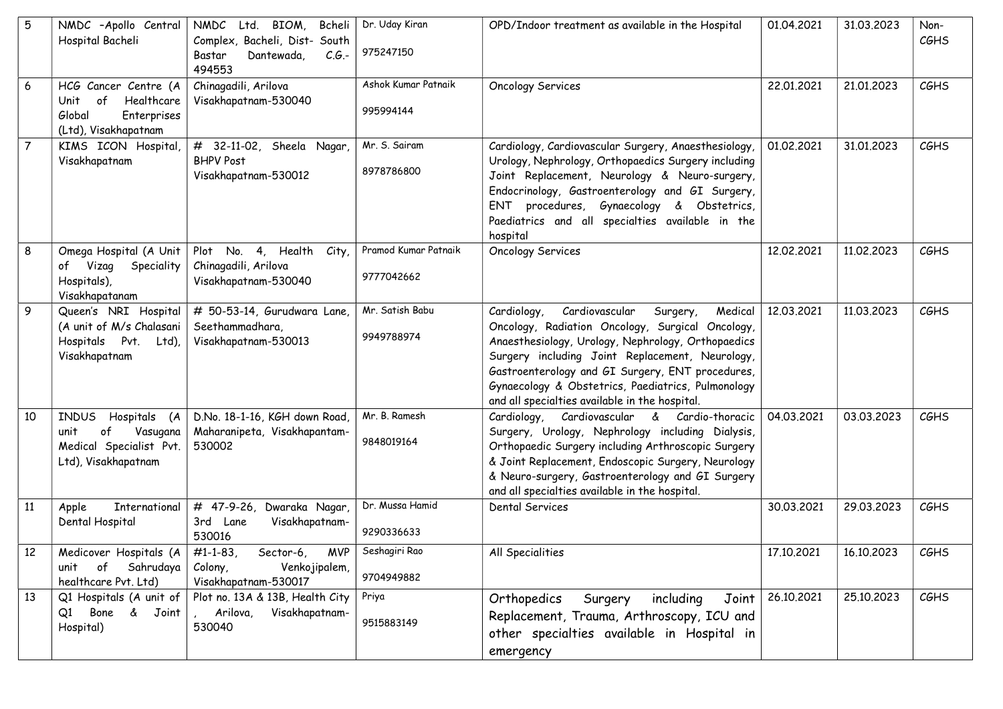| 5              | NMDC -Apollo Central<br>Hospital Bacheli                                                                 | NMDC Ltd. BIOM,<br>Bcheli<br>Complex, Bacheli, Dist- South<br>Dantewada,<br>$C.G. -$<br>Bastar<br>494553 | Dr. Uday Kiran<br>975247150        | OPD/Indoor treatment as available in the Hospital                                                                                                                                                                                                                                                                                                                             | 01.04.2021 | 31.03.2023 | Non-<br>CGHS |
|----------------|----------------------------------------------------------------------------------------------------------|----------------------------------------------------------------------------------------------------------|------------------------------------|-------------------------------------------------------------------------------------------------------------------------------------------------------------------------------------------------------------------------------------------------------------------------------------------------------------------------------------------------------------------------------|------------|------------|--------------|
| 6              | HCG Cancer Centre (A<br>Healthcare<br>Unit<br>of<br>Enterprises<br>Global<br>(Ltd), Visakhapatnam        | Chinagadili, Arilova<br>Visakhapatnam-530040                                                             | Ashok Kumar Patnaik<br>995994144   | <b>Oncology Services</b>                                                                                                                                                                                                                                                                                                                                                      | 22.01.2021 | 21.01.2023 | CGHS         |
| $\overline{7}$ | KIMS ICON Hospital,<br>Visakhapatnam                                                                     | # 32-11-02, Sheela Nagar,<br><b>BHPV Post</b><br>Visakhapatnam-530012                                    | Mr. S. Sairam<br>8978786800        | Cardiology, Cardiovascular Surgery, Anaesthesiology,<br>Urology, Nephrology, Orthopaedics Surgery including<br>Joint Replacement, Neurology & Neuro-surgery,<br>Endocrinology, Gastroenterology and GI Surgery,<br>ENT procedures, Gynaecology & Obstetrics,<br>Paediatrics and all specialties available in the<br>hospital                                                  | 01.02.2021 | 31,01,2023 | CGHS         |
| 8              | Omega Hospital (A Unit<br>of Vizag Speciality<br>Hospitals),<br>Visakhapatanam                           | Plot No. 4, Health<br>City,<br>Chinagadili, Arilova<br>Visakhapatnam-530040                              | Pramod Kumar Patnaik<br>9777042662 | Oncology Services                                                                                                                                                                                                                                                                                                                                                             | 12.02.2021 | 11.02.2023 | CGHS         |
| 9              | Queen's NRI Hospital<br>(A unit of M/s Chalasani<br>Hospitals Pvt. Ltd),<br>Visakhapatnam                | # 50-53-14, Gurudwara Lane,<br>Seethammadhara,<br>Visakhapatnam-530013                                   | Mr. Satish Babu<br>9949788974      | Cardiovascular<br>Cardiology,<br>Medical<br>Surgery,<br>Oncology, Radiation Oncology, Surgical Oncology,<br>Anaesthesiology, Urology, Nephrology, Orthopaedics<br>Surgery including Joint Replacement, Neurology,<br>Gastroenterology and GI Surgery, ENT procedures,<br>Gynaecology & Obstetrics, Paediatrics, Pulmonology<br>and all specialties available in the hospital. | 12.03.2021 | 11.03.2023 | CGHS         |
| 10             | <b>INDUS</b><br>Hospitals (A<br>of<br>Vasugana<br>unit<br>Medical Specialist Pvt.<br>Ltd), Visakhapatnam | D.No. 18-1-16, KGH down Road,<br>Maharanipeta, Visakhapantam-<br>530002                                  | Mr. B. Ramesh<br>9848019164        | Cardiology, Cardiovascular & Cardio-thoracic<br>Surgery, Urology, Nephrology including Dialysis,<br>Orthopaedic Surgery including Arthroscopic Surgery<br>& Joint Replacement, Endoscopic Surgery, Neurology<br>& Neuro-surgery, Gastroenterology and GI Surgery<br>and all specialties available in the hospital.                                                            | 04.03.2021 | 03.03.2023 | CGHS         |
| 11             | International<br>Apple<br>Dental Hospital                                                                | $#$ 47-9-26,<br>Dwaraka Nagar,<br>3rd Lane<br>Visakhapatnam-<br>530016                                   | Dr. Mussa Hamid<br>9290336633      | Dental Services                                                                                                                                                                                                                                                                                                                                                               | 30.03.2021 | 29.03.2023 | CGHS         |
| 12             | Medicover Hospitals $(A   #1-1-83)$<br>unit of Sahrudaya Colony,<br>healthcare Pvt. Ltd)                 | MVP<br>Sector-6,<br>Venkojipalem,<br>Visakhapatnam-530017                                                | Seshagiri Rao<br>9704949882        | All Specialities                                                                                                                                                                                                                                                                                                                                                              | 17.10.2021 | 16.10.2023 | CGHS         |
| 13             | Q1 Bone & Joint<br>Hospital)                                                                             | Q1 Hospitals (A unit of   Plot no. 13A & 13B, Health City<br>, Arilova,<br>Visakhapatnam-<br>530040      | Priya<br>9515883149                | Orthopedics<br>including<br>Joint<br>Surgery<br>Replacement, Trauma, Arthroscopy, ICU and<br>other specialties available in Hospital in<br>emergency                                                                                                                                                                                                                          | 26.10.2021 | 25.10.2023 | CGHS         |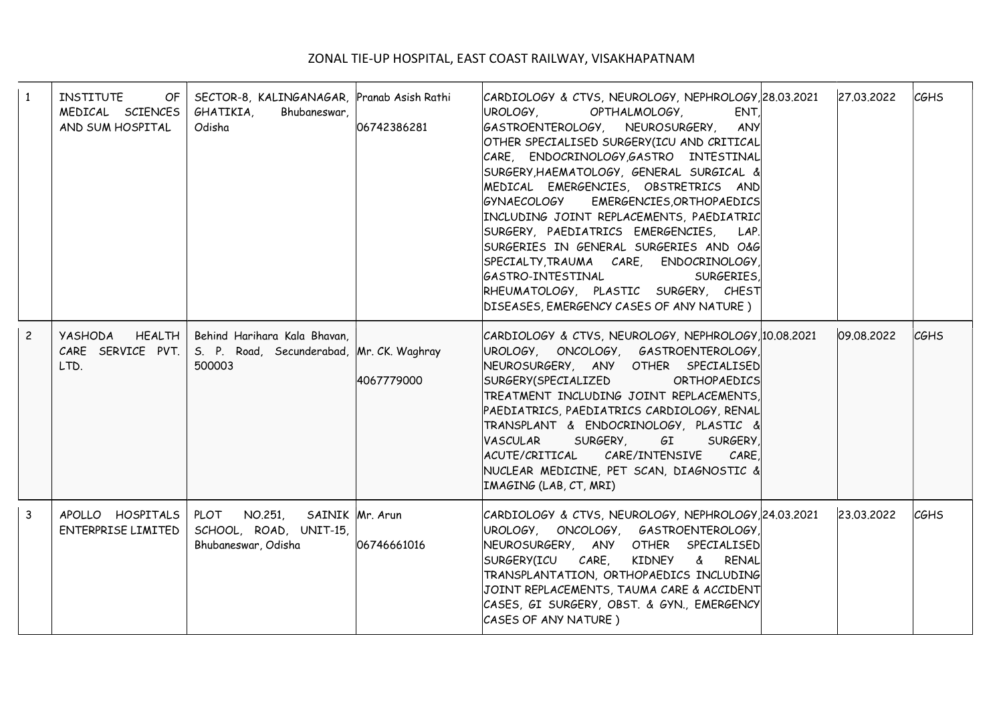## ZONAL TIE-UP HOSPITAL, EAST COAST RAILWAY, VISAKHAPATNAM

| 1            | INSTITUTE<br>MEDICAL SCIENCES<br>AND SUM HOSPITAL | OF   SECTOR-8, KALINGANAGAR, Pranab Asish Rathi<br>GHATIKIA,<br>Bhubaneswar,<br>Odisha       | 06742386281                    | CARDIOLOGY & CTVS, NEUROLOGY, NEPHROLOGY, 28.03.2021 27.03.2022<br>UROLOGY,<br>OPTHALMOLOGY,<br>ENT,<br>GASTROENTEROLOGY, NEUROSURGERY, ANY<br>OTHER SPECIALISED SURGERY(ICU AND CRITICAL<br>CARE, ENDOCRINOLOGY, GASTRO INTESTINAL<br>SURGERY, HAEMATOLOGY, GENERAL SURGICAL &<br>MEDICAL EMERGENCIES, OBSTRETRICS AND<br>EMERGENCIES, ORTHOPAEDICS<br><b>GYNAECOLOGY</b><br>INCLUDING JOINT REPLACEMENTS, PAEDIATRIC<br>SURGERY, PAEDIATRICS EMERGENCIES, LAP.<br>SURGERIES IN GENERAL SURGERIES AND O&G<br>SPECIALTY, TRAUMA CARE, ENDOCRINOLOGY,<br>GASTRO-INTESTINAL<br>SURGERIES,<br>RHEUMATOLOGY, PLASTIC SURGERY, CHEST<br>DISEASES, EMERGENCY CASES OF ANY NATURE) |            | <b>CGHS</b> |
|--------------|---------------------------------------------------|----------------------------------------------------------------------------------------------|--------------------------------|-----------------------------------------------------------------------------------------------------------------------------------------------------------------------------------------------------------------------------------------------------------------------------------------------------------------------------------------------------------------------------------------------------------------------------------------------------------------------------------------------------------------------------------------------------------------------------------------------------------------------------------------------------------------------------|------------|-------------|
| $\mathbf{2}$ | <b>YASHODA</b><br>CARE SERVICE PVT.<br>LTD.       | HEALTH   Behind Harihara Kala Bhavan,<br>S. P. Road, Secunderabad, Mr. CK. Waghray<br>500003 | 4067779000                     | CARDIOLOGY & CTVS, NEUROLOGY, NEPHROLOGY, 10.08.2021<br>UROLOGY, ONCOLOGY, GASTROENTEROLOGY,<br>NEUROSURGERY, ANY OTHER SPECIALISED<br>SURGERY (SPECIALIZED<br>ORTHOPAEDICS<br>TREATMENT INCLUDING JOINT REPLACEMENTS,<br>PAEDIATRICS, PAEDIATRICS CARDIOLOGY, RENAL<br>TRANSPLANT & ENDOCRINOLOGY, PLASTIC &<br>VASCULAR<br>SURGERY, GI<br>SURGERY,<br>ACUTE/CRITICAL CARE/INTENSIVE CARE,<br>NUCLEAR MEDICINE, PET SCAN, DIAGNOSTIC &<br>IMAGING (LAB, CT, MRI)                                                                                                                                                                                                           | 09.08.2022 | <b>CGHS</b> |
| 3            | APOLLO HOSPITALS<br>ENTERPRISE LIMITED            | PLOT NO.251,<br>SCHOOL, ROAD, UNIT-15,<br>Bhubaneswar, Odisha                                | SAINIK Mr. Arun<br>06746661016 | CARDIOLOGY & CTVS, NEUROLOGY, NEPHROLOGY, 24.03.2021<br>UROLOGY, ONCOLOGY, GASTROENTEROLOGY,<br>NEUROSURGERY, ANY OTHER SPECIALISED<br>SURGERY(ICU CARE, KIDNEY & RENAL<br>TRANSPLANTATION, ORTHOPAEDICS INCLUDING<br>JOINT REPLACEMENTS, TAUMA CARE & ACCIDENT<br>CASES, GI SURGERY, OBST. & GYN., EMERGENCY<br>CASES OF ANY NATURE)                                                                                                                                                                                                                                                                                                                                       | 23.03.2022 | <b>CGHS</b> |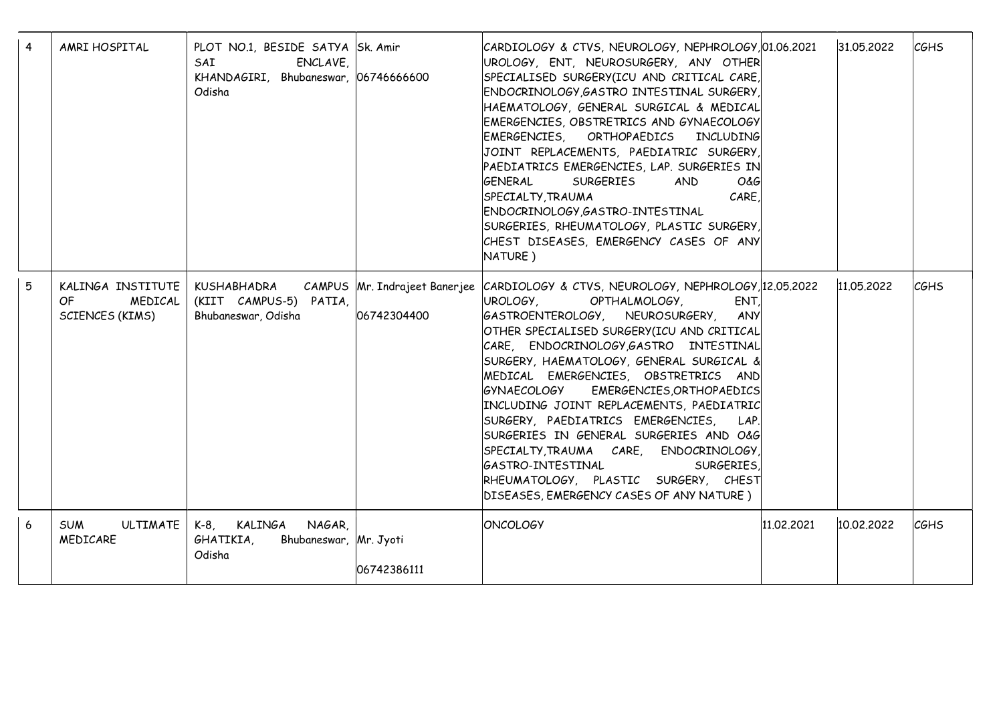| 4 | AMRI HOSPITAL                                          | PLOT NO.1, BESIDE SATYA Sk. Amir<br>SAI<br>ENCLAVE,<br>KHANDAGIRI, Bhubaneswar, 06746666600<br>Odisha |             | CARDIOLOGY & CTVS, NEUROLOGY, NEPHROLOGY, 01.06.2021<br>UROLOGY, ENT, NEUROSURGERY, ANY OTHER<br>SPECIALISED SURGERY(ICU AND CRITICAL CARE)<br>ENDOCRINOLOGY, GASTRO INTESTINAL SURGERY,<br>HAEMATOLOGY, GENERAL SURGICAL & MEDICAL<br>EMERGENCIES, OBSTRETRICS AND GYNAECOLOGY<br>EMERGENCIES, ORTHOPAEDICS INCLUDING<br>JOINT REPLACEMENTS, PAEDIATRIC SURGERY,<br>PAEDIATRICS EMERGENCIES, LAP. SURGERIES IN<br>GENERAL<br><b>SURGERIES</b><br>O&G<br><b>AND</b><br>CARE,<br>SPECIALTY, TRAUMA<br>ENDOCRINOLOGY, GASTRO-INTESTINAL<br>SURGERIES, RHEUMATOLOGY, PLASTIC SURGERY,<br>CHEST DISEASES, EMERGENCY CASES OF ANY<br>NATURE)                                                 |            | 31.05.2022 | <b>CGHS</b> |
|---|--------------------------------------------------------|-------------------------------------------------------------------------------------------------------|-------------|-----------------------------------------------------------------------------------------------------------------------------------------------------------------------------------------------------------------------------------------------------------------------------------------------------------------------------------------------------------------------------------------------------------------------------------------------------------------------------------------------------------------------------------------------------------------------------------------------------------------------------------------------------------------------------------------|------------|------------|-------------|
| 5 | KALINGA INSTITUTE<br>OF.<br>MEDICAL<br>SCIENCES (KIMS) | KUSHABHADRA<br><b>CAMPUS</b><br>(KIIT CAMPUS-5) PATIA,<br>Bhubaneswar, Odisha                         | 06742304400 | Mr. Indrajeet Banerjee CARDIOLOGY & CTVS, NEUROLOGY, NEPHROLOGY, 12.05.2022<br>UROLOGY.<br>ENT,<br>OPTHALMOLOGY,<br>GASTROENTEROLOGY, NEUROSURGERY, ANY<br>OTHER SPECIALISED SURGERY(ICU AND CRITICAL<br>CARE, ENDOCRINOLOGY, GASTRO INTESTINAL<br>SURGERY, HAEMATOLOGY, GENERAL SURGICAL &<br>MEDICAL EMERGENCIES, OBSTRETRICS AND<br>EMERGENCIES, ORTHOPAEDICS<br><b>GYNAECOLOGY</b><br>INCLUDING JOINT REPLACEMENTS, PAEDIATRIC<br>SURGERY, PAEDIATRICS EMERGENCIES, LAP.<br>SURGERIES IN GENERAL SURGERIES AND O&G<br>SPECIALTY, TRAUMA CARE, ENDOCRINOLOGY,<br>GASTRO-INTESTINAL<br>SURGERIES,<br>RHEUMATOLOGY, PLASTIC SURGERY, CHEST<br>DISEASES, EMERGENCY CASES OF ANY NATURE) |            | 11,05,2022 | <b>CGHS</b> |
| 6 | <b>SUM</b><br>ULTIMATE<br>MEDICARE                     | K-8, KALINGA<br>NAGAR,<br>GHATIKIA,<br>Bhubaneswar, Mr. Jyoti<br>Odisha                               | 06742386111 | <b>ONCOLOGY</b>                                                                                                                                                                                                                                                                                                                                                                                                                                                                                                                                                                                                                                                                         | 11.02.2021 | 10.02.2022 | <b>CGHS</b> |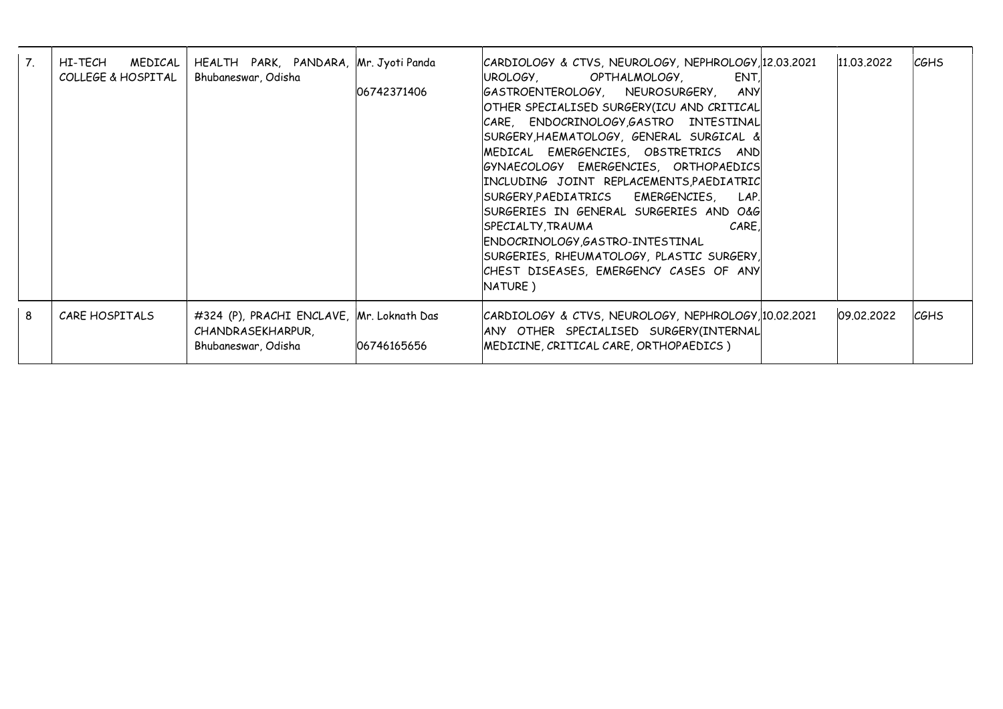| 7. | HI-TECH<br>MEDICAL<br>COLLEGE & HOSPITAL | HEALTH PARK, PANDARA, Mr. Jyoti Panda<br>Bhubaneswar, Odisha                          | 06742371406 | CARDIOLOGY & CTVS, NEUROLOGY, NEPHROLOGY, 12.03.2021<br>ENT,<br>GASTROENTEROLOGY, NEUROSURGERY, ANY<br>OTHER SPECIALISED SURGERY(ICU AND CRITICAL<br> CARE, ENDOCRINOLOGY,GASTRO INTESTINAL <br>SURGERY, HAEMATOLOGY, GENERAL SURGICAL &<br>MEDICAL EMERGENCIES, OBSTRETRICS AND<br>GYNAECOLOGY EMERGENCIES, ORTHOPAEDICS<br>INCLUDING JOINT REPLACEMENTS, PAEDIATRIC<br>SURGERY, PAEDIATRICS EMERGENCIES, LAP.<br>SURGERIES IN GENERAL SURGERIES AND O&G<br>CARE.<br>SPECIALTY, TRAUMA<br>ENDOCRINOLOGY,GASTRO-INTESTINAL<br>SURGERIES, RHEUMATOLOGY, PLASTIC SURGERY,<br>CHEST DISEASES, EMERGENCY CASES OF ANY<br>NATURE) | 11,03,2022           | <b>CGHS</b> |
|----|------------------------------------------|---------------------------------------------------------------------------------------|-------------|------------------------------------------------------------------------------------------------------------------------------------------------------------------------------------------------------------------------------------------------------------------------------------------------------------------------------------------------------------------------------------------------------------------------------------------------------------------------------------------------------------------------------------------------------------------------------------------------------------------------------|----------------------|-------------|
| 8  | CARE HOSPITALS                           | #324 (P), PRACHI ENCLAVE, Mr. Loknath Das<br>CHANDRASEKHARPUR,<br>Bhubaneswar, Odisha | 06746165656 | CARDIOLOGY & CTVS, NEUROLOGY, NEPHROLOGY, 10.02.2021<br>ANY OTHER SPECIALISED SURGERY(INTERNAL)<br>MEDICINE, CRITICAL CARE, ORTHOPAEDICS)                                                                                                                                                                                                                                                                                                                                                                                                                                                                                    | $ 09.02.2022\rangle$ | CGHS        |